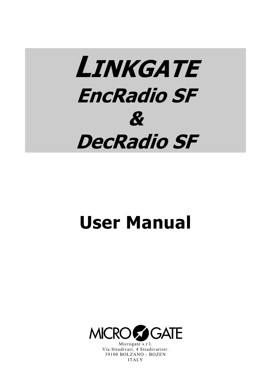

# **User Manual**



Microgate s.r.l. Via Stradivari, 4 Stradivaristr. 39100 BOLZANO - BOZEN ITALY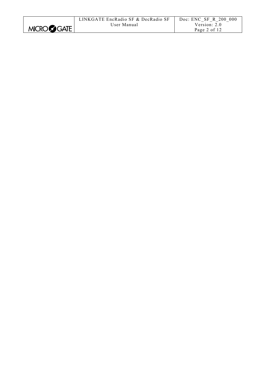|                      | LINKGATE EncRadio SF & DecRadio SF | Doc: $ENC$ SF R 200<br>-000 |
|----------------------|------------------------------------|-----------------------------|
|                      | User Manual                        | Version: $2.0$              |
| MICRO <b>CO</b> GATE |                                    | Page 2 of 12                |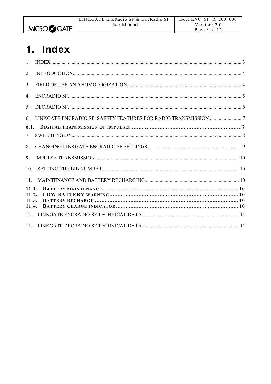<span id="page-2-0"></span>

### 1. Index

| 2.                      |       |  |
|-------------------------|-------|--|
| 3.                      |       |  |
| $4_{\cdot}$             |       |  |
| 5 <sub>1</sub>          |       |  |
| 6                       |       |  |
| 6.1.                    |       |  |
| 7.                      |       |  |
| 8.                      |       |  |
| 9.                      |       |  |
| 10 <sub>1</sub>         |       |  |
| 11.                     |       |  |
| 11.1.<br>11.2.<br>11.3. |       |  |
|                         | 11.4. |  |
| 12.                     |       |  |
| 13 <sup>7</sup>         |       |  |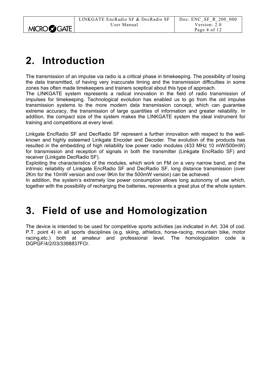### <span id="page-3-0"></span>**2. Introduction**

The transmission of an impulse via radio is a critical phase in timekeeping. The possibility of losing the data transmitted, of having very inaccurate timing and the transmission difficulties in some zones has often made timekeepers and trainers sceptical about this type of approach.

The LINKGATE system represents a radical innovation in the field of radio transmission of impulses for timekeeping. Technological evolution has enabled us to go from the old impulse transmission systems to the more modern data transmission concept, which can guarantee extreme accuracy, the transmission of large quantities of information and greater reliability. In addition, the compact size of the system makes the LINKGATE system the ideal instrument for training and competitions at every level.

Linkgate EncRadio SF and DecRadio SF represent a further innovation with respect to the wellknown and highly esteemed Linkgate Encoder and Decoder. The evolution of the products has resulted in the embedding of high reliability low power radio modules (433 MHz 10 mW/500mW) for transmission and reception of signals in both the transmitter (Linkgate EncRadio SF) and receiver (Linkgate DecRadio SF).

Exploiting the characteristics of the modules, which work on FM on a very narrow band, and the intrinsic reliability of Linkgate EncRadio SF and DecRadio SF, long distance transmission (over 2Km for the 10mW version and over 9Km for the 500mW version) can be achieved.

In addition, the system's extremely low power consumption allows long autonomy of use which, together with the possibility of recharging the batteries, represents a great plus of the whole system.

#### **3. Field of use and Homologization**

The device is intended to be used for competitive sports activities (as indicated in Art. 334 of cod. P.T. point 4) in all sports disciplines (e.g. skiing, athletics, horse-racing, mountain bike, motor racing,etc.) both at amateur and professional level. The homologization code is DGPGF/4/2/03/3398837FO/.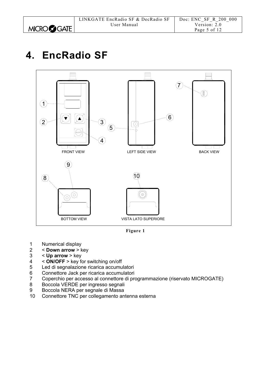### <span id="page-4-0"></span>**4. EncRadio SF**



**Figure 1** 

- 1 Numerical display
- 2 < **Down arrow** > key
- 3 < **Up arrow** > key
- 4 < **ON/OFF** > key for switching on/off
- 5 Led di segnalazione ricarica accumulatori
- 6 Connettore Jack per ricarica accumulatori<br>7 Coperchio per accesso al connettore di pro
- 7 Coperchio per accesso al connettore di programmazione (riservato MICROGATE)
- 8 Boccola VERDE per ingresso segnali
- 9 Boccola NERA per segnale di Massa
- 10 Connettore TNC per collegamento antenna esterna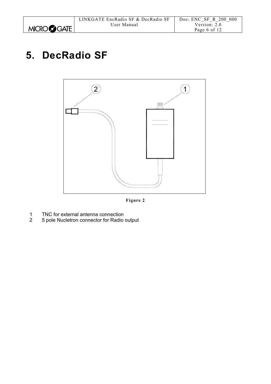# <span id="page-5-0"></span>**5. DecRadio SF**



**Figure 2** 

- 1 TNC for external antenna connection<br>2 5 pole Nucletron connector for Radio
- 2 5 pole Nucletron connector for Radio output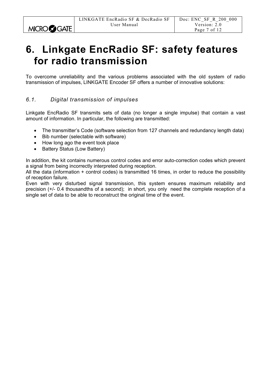#### <span id="page-6-0"></span>**6. Linkgate EncRadio SF: safety features for radio transmission**

To overcome unreliability and the various problems associated with the old system of radio transmission of impulses, LINKGATE Encoder SF offers a number of innovative solutions:

#### *6.1. Digital transmission of impulses*

Linkgate EncRadio SF transmits sets of data (no longer a single impulse) that contain a vast amount of information. In particular, the following are transmitted:

- The transmitter's Code (software selection from 127 channels and redundancy length data)
- Bib number (selectable with software)
- How long ago the event took place
- Battery Status (Low Battery)

In addition, the kit contains numerous control codes and error auto-correction codes which prevent a signal from being incorrectly interpreted during reception.

All the data (information + control codes) is transmitted 16 times, in order to reduce the possibility of reception failure.

Even with very disturbed signal transmission, this system ensures maximum reliability and precision (+/- 0.4 thousandths of a second); in short, you only need the complete reception of a single set of data to be able to reconstruct the original time of the event.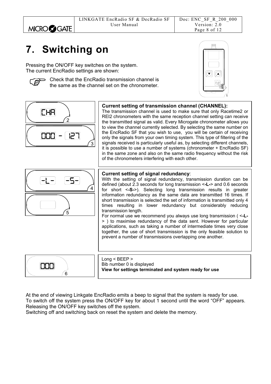<span id="page-7-0"></span>

# **7. Switching on**

6

Pressing the ON/OFF key switches on the system. The current EncRadio settings are shown:



Check that the EncRadio transmission channel is the same as the channel set on the chronometer.





At the end of viewing Linkgate EncRadio emits a beep to signal that the system is ready for use. To switch off the system press the ON/OFF key for about 1 second until the word "OFF" appears. Releasing the ON/OFF key switches off the system.

Switching off and switching back on reset the system and delete the memory.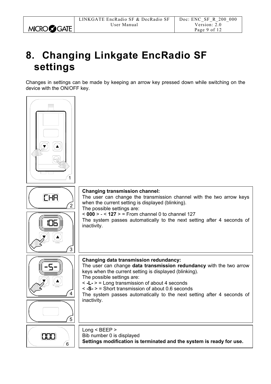#### <span id="page-8-0"></span>**8. Changing Linkgate EncRadio SF settings**

Changes in settings can be made by keeping an arrow key pressed down while switching on the device with the ON/OFF key.

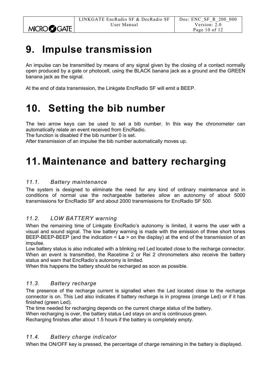### <span id="page-9-0"></span>**9. Impulse transmission**

An impulse can be transmitted by means of any signal given by the closing of a contact normally open produced by a gate or photocell, using the BLACK banana jack as a ground and the GREEN banana jack as the signal.

At the end of data transmission, the Linkgate EncRadio SF will emit a BEEP.

### **10. Setting the bib number**

The two arrow keys can be used to set a bib number. In this way the chronometer can automatically relate an event received from EncRadio.

The function is disabled if the bib number 0 is set.

After transmission of an impulse the bib number automatically moves up.

#### **11. Maintenance and battery recharging**

#### *11.1. Battery maintenance*

The system is designed to eliminate the need for any kind of ordinary maintenance and in conditions of normal use the rechargeable batteries allow an autonomy of about 5000 transmissions for EncRadio SF and about 2000 transmissions for EncRadio SF 500.

#### *11.2. LOW BATTERY warning*

When the remaining time of Linkgate EncRadio's autonomy is limited, it warns the user with a visual and sound signal. The low battery warning is made with the emission of three short tones BEEP-BEEP-BEEP (and the indication < **Lo** > on the display) at the end of the transmission of an impulse.

Low battery status is also indicated with a blinking red Led located close to the recharge connector. When an event is transmitted, the Racetime 2 or Rei 2 chronometers also receive the battery status and warn that EncRadio's autonomy is limited.

When this happens the battery should be recharged as soon as possible.

#### *11.3. Battery recharge*

The presence of the recharge current is signalled when the Led located close to the recharge connector is on. This Led also indicates if battery recharge is in progress (orange Led) or if it has finished (green Led).

The time needed for recharging depends on the current charge status of the battery.

When recharging is over, the battery status Led stays on and is continuous green.

Recharging finishes after about 1.5 hours if the battery is completely empty.

#### *11.4. Battery charge indicator*

When the ON/OFF key is pressed, the percentage of charge remaining in the battery is displayed.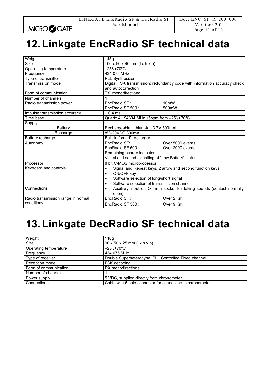#### <span id="page-10-0"></span>**12. Linkgate EncRadio SF technical data**

| Weight                             | 145g                                                                             |  |  |
|------------------------------------|----------------------------------------------------------------------------------|--|--|
| <b>Size</b>                        | $100 \times 50 \times 40$ mm ( $\vert x \vert x \vert y \vert$ )                 |  |  |
| Operating temperature              | $-25^{\circ}/+70^{\circ}$ C                                                      |  |  |
| Frequency                          | 434.075 MHz                                                                      |  |  |
| Type of transmitter                | <b>PLL Synthesizer</b>                                                           |  |  |
| Transmission mode                  | Digital FSK transmission; redundancy code with information accuracy check        |  |  |
|                                    | and autocorrection                                                               |  |  |
| Form of communication              | TX monodirectional                                                               |  |  |
| Number of channels                 |                                                                                  |  |  |
| Radio transmission power           | EncRadio SF:<br>10 <sub>m</sub> W                                                |  |  |
|                                    | EncRadio SF 500:<br>500mW                                                        |  |  |
| Impulse transmission accuracy      | $± 0.4$ ms                                                                       |  |  |
| Time base                          | Quartz 4.194304 MHz ±5ppm from -25°/+70°C                                        |  |  |
| Supply:                            |                                                                                  |  |  |
| Battery                            | Rechargeable Lithium-Ion 3.7V 500mAh                                             |  |  |
| Recharge                           | 8V÷20VDC 300mA                                                                   |  |  |
| Battery recharge                   | Built-in "smart" recharger                                                       |  |  |
| Autonomy                           | Over 5000 events<br>FncRadio SF:                                                 |  |  |
|                                    | EncRadio SF 500:<br>Over 2000 events                                             |  |  |
|                                    | Remaining charge indicator                                                       |  |  |
|                                    | Visual and sound signalling of "Low Battery" status                              |  |  |
| Processor                          | 8 bit C-MOS microprocessor                                                       |  |  |
| Keyboard and controls              | Signal and Repeat keys, 2 arrow and second function keys<br>$\bullet$            |  |  |
|                                    | ON/OFF key<br>$\bullet$                                                          |  |  |
|                                    | Software selection of long/short signal<br>$\bullet$                             |  |  |
|                                    | Software selection of transmission channel                                       |  |  |
| Connections                        | Auxiliary input on Ø 4mm socket for taking speeds (contact normally<br>$\bullet$ |  |  |
|                                    | open)                                                                            |  |  |
| Radio transmission range in normal | EncRadio SF:<br>Over 2 Km                                                        |  |  |
| conditions                         | EncRadio SF 500:<br>Over 9 Km                                                    |  |  |

#### **13. Linkgate DecRadio SF technical data**

| Weight                | 110q                                                      |
|-----------------------|-----------------------------------------------------------|
| <b>Size</b>           | $90 \times 50 \times 25$ mm ( $1 \times h \times p$ )     |
| Operating temperature | $-25^{\circ}$ /+70°C                                      |
| Frequency             | 434.075 MHz                                               |
| Type of receiver      | Double Superheterodyne, PLL Controlled Fixed channel      |
| Reception mode        | FSK decoding                                              |
| Form of communication | RX monodirectional                                        |
| Number of channels    |                                                           |
| Power supply          | 5 VDC, supplied directly from chronometer                 |
| Connections           | Cable with 5 pole connector for connection to chronometer |